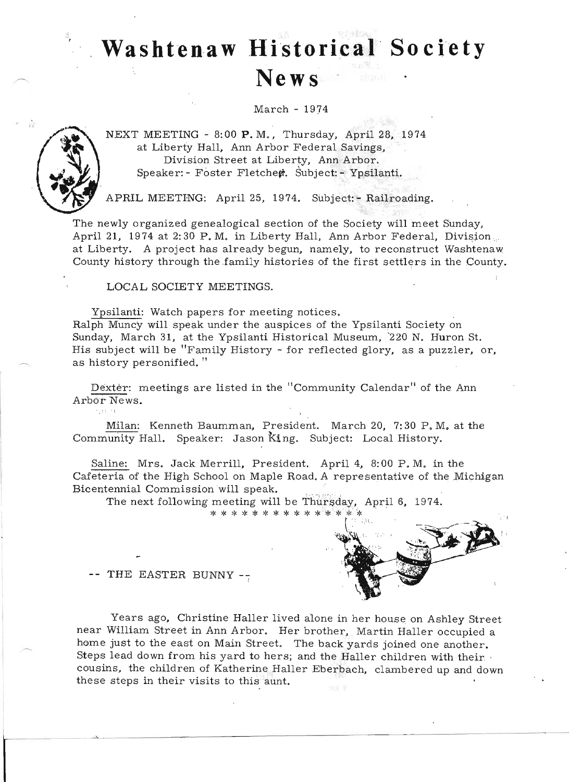# **Washtenaw Historical Society News**

March - 1974



 $^{\prime}$  . 1 : 1  $^{\prime}$  :

NEXT MEETING - 8:00 **P.** M., Thursday, April 28, 1974 at Liberty Hall, Ann Arbor Federal Savings, Division Street at Liberty, Ann Arbor. Speaker: - Foster Fletchen. Subject: - Ypsilanti.

APRIL MEETING: April 25, 1974. Subject: - Railroading.

The newly organized genealogical section of the Society will meet Sunday, April 21, 1974 at 2:30 P. M. in Liberty Hall, Ann Arbor Federal, Division... at Liberty. A project has already begun, namely, to reconstruct Washtenaw County history through the family histories of the first settlers in the County.

LOCAL SOCIETY MEETINGS.

Ypsilanti: Watch papers for meeting notices.

Ralph Muncy will speak under the auspices of the Ypsilanti Society on Sunday, March 31, at the Ypsilanti Historical Museum, 220 N. Huron St. His subject will be "Family History - for reflected glory, as a puzzler, or, as history personified."

Dexter: meetings are listed in the "Community Calendar" of the Ann Arbor News.

Milan: Kenneth Baumman, President. March 20, 7:30 P.M. at the Community Hall. Speaker: Jason king. Subject: Local History.

Saline: Mrs. Jack Merrill, President. April 4, 8: 00 P. M. in the Cafeteria of the High School on Maple Road. A representative of the Michigan Bicentennial Commission will speak.

The next following meeting will be Thursday, April 6, 1974.

\* \* \* \* \* \* \* \* \* \* \* \* \* \* \*



-- THE EASTER BUNNY --

Years ago, Christine Haller lived alone in her house on Ashley Street near William Street in Ann Arbor. Her brother, Martin Haller occupied a home just to the east on Main Street. The back yards joined one another. Steps lead down from his yard to hers; and the Haller children with their cousins, the children of Katherine Haller Eberbach, clambered up and down these steps in their visits to this aunt.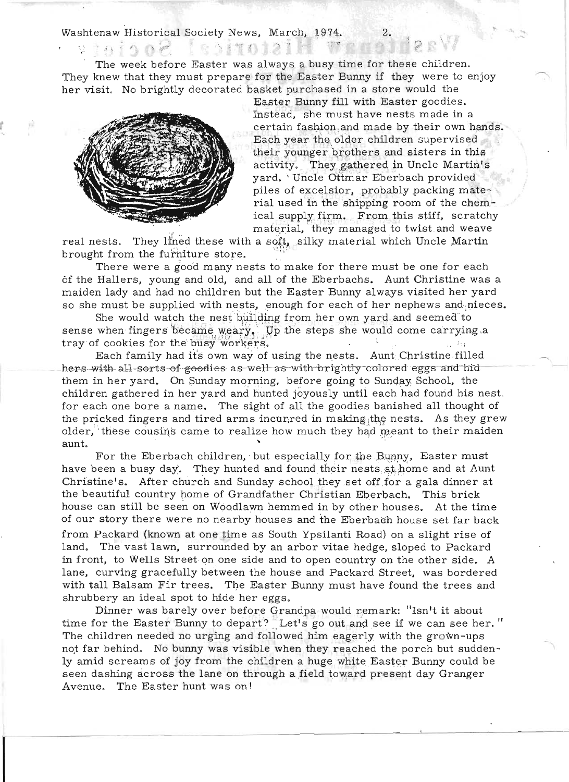Washtenaw Historical Society News, March, 1974.

The week before Easter was always a busy time for these children. They knew that they must prepare for the Easter Bunny if they were to enjoy her visit. No brightly decorated basket purchased in a store would the

"第二者"。



*: ,r* <sup>~</sup>

M.

*t* 

**I** 

Easter Bunny fill with Easter goodies. Instead, she must have nests made in a certain fashion . and made by their own hands. Each year the older children supervised their younger brothers and sisters in this activity. They gathered in Uncle Martin's yard. 'Uncle Ottmar Eberbach provided piles of excelsior, probably packing material used in the shipping room of the chemical supply firm. From this stiff, scratchy material, they managed to twist and weave

real nests. They lined these with a soft, silky material which Uncle Martin brought from the furniture store.

There were a good many nests to make for there must be one for each 6f the Hallers, young and old, and all of the Eberbachs. Aunt Christine was a maiden lady and had no children but the Easter Bunny always visited her yard so she must be supplied with nests, enough for each of her nephews and nieces.

She would watch the nest building from her own yard and seemed to sense when fingers became weary. Up the steps she would come carrying a tray of cookies for the busy workers.

Each family had its own way of using the nests. Aunt Christine filled hers-with all-sorts-of-goodies as-well-as-with-brightty-colored eggs and hid them in her yard. On Sunday morning, before going to Sunday School, the children gathered in her yard and hunted joyously until each had found his nest. for each one bore a name. The sight of all the goodies banished all thought of the pricked fingers and tired arms incurated in making the nests. As they grew blder, these cousins came to realize how much they had meant to their maiden

For the Eberbach children, but especially for the Bunny, Easter must have been a busy day. They hunted and found their nests at home and at Aunt Christine's. After church and Sunday school they set off for a gala dinner at the beautiful country home of Grandfather Christian Eberbach. This brick house can still be seen on Woodlawn hemmed in by other houses. At the time of our story there were no nearby houses and the Eberbaoh house set far back from Packard (known at one time as South Ypsilanti Road) on a slight rise of land. The vast lawn, surrounded by an arbor vitae hedge, sloped to Packard in front, to Wells Street on one side and to open country on the other side. A lane, curving gracefully between the house and Packard Street. was bordered with tall Balsam Fir trees. The Easter Bunny must have found the trees and shrubbery an ideal spot to hide her eggs.

Dinner was barely over before Grandpa would remark: "Isn't it about time for the Easter Bunny to depart? Let's go out and see if we can see her." The children needed no urging and followed him eagerly with the grown-ups not far behind. No bunny was visible when they reached the porch but suddenly amid screams of joy from the children a huge white Easter Bunny could be seen dashing across the lane on through a field toward present day Granger Avenue. The Easter hunt was on!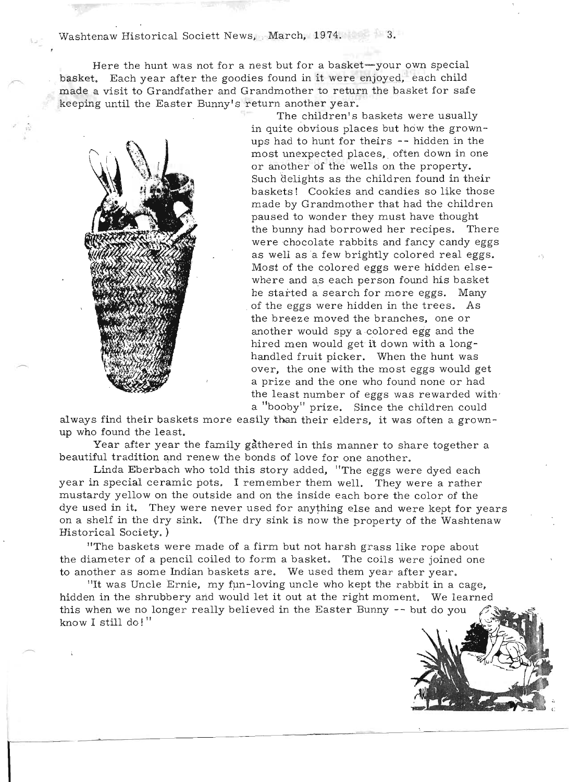Washtenaw Historical Societt News, March, 1974. 3.

Here the hunt was not for a nest but for a basket-your own special basket. Each year after the goodies found in it were enjoyed, each child asket. Each year after the goodles found in it were enjoyed, each child<br>ade a visit to Grandfather and Grandmother to return the basket for safe ade a visit to Grandiather and Grandmother to return<br>conjecturii the Easter Bunnyle return another year. keeping until the Easter Bunny's return another year.<br>The children's baskets were usually



in quite obvious places but how the grownups had to hunt for theirs - hidden in the unit of the state of the state of the state of the state of the state of the state of the state of the state of the state of the state of the state of the state of the state of th (i) and to hunt for theirs -- hidden in the<br>intervention of the most unexpected places, often down in one most unexpected places, often down in one<br>or another of the wells on the property. such delights as the children found in their<br>in idealights as the children found in their basic delights as the children found in their<br>related. Cookies and candies so like those askets: Cookies and candles so like mose ade by Grandmother that had the children<br>weed to wonder they must have thought paused to wonder they must have thought<br>the bunny had borrowed her recipes. There e bumly had borrowed her recipes. Inere ere chocolate rabbits and fancy candy eggs<br>. well as a few brightly colored real eggs. as well as a few brightly colored real eggs. Most of the colored eggs were hidden elsewhere and as each person found his basket he started a search for more eggs. Many of the eggs were hidden in the trees. As<br>the breeze moved the branches, one or e breeze moved the pranches, one or hother would spy a colored egg and the<br>mod men would get it down with a longhired men would get it down with a long-<br>handled fruit picker. When the hunt was andled fruit picker. When the nunt was<br>rep. the one with the meet eggs would get ver, the one with the most eggs would get<br>nuise and the one who found none or had a prize and the one who found none or had the least number of eggs was rewarded with a "booby" prize. Since the children could

a booby prize. Since the children could<br>ways find their baskets more easily than their elders, it was often a grownways find their baskets.<br>who found the least. round the least.<br>ear after year the family gathered in this manner to share together a

rear after year the family gathered in this manner to share<br>contiful tradition and renew the bonds of love for one enction. Linda Eberbach who told this story added, "The eggs were dyed each."

Limua Eberbach who told this story added, The eggs were dyed each<br>Nor in gracial contribution of the I remember them well. They were a rather year in special ceramic pots. I remember them well. They were a rather mustardy yellow on the outside and on the inside each bore the color of the distardy yellow on the outside and on the inside each bore the color of the<br>to yeed in it. They were never yeed for enything else and were kept for years. on a shelf in the dry were never used for anything else and were kept for years.<br>Shelf in the dry sink. (The dry sink is now the property of the Weshtenaw. on a shelf in the dry sink. (The dry sink is now the property of the Washtenaw Historical Society.) "The baskets were made of a firm but not harsh grass like rope about

The baskets were made of a firm but not harsh grass like rope about the diameter of a pencil coiled to form a basket. The coils were joined one to another as some Indian baskets are. We used them year after year. ner as some moian paskets are, we used them year after year,<br>two Uncle Ernie, my fun-Ioving uncle who kept the rebbit in a cage,

"It was Uncle Ernie, my fun-loving uncle who kept the rabbit in a cage,<br>density at the shrubbery and would let it out at the right moment. We learned hidden in the shrubbery and would let it out at the right moment. We learned this when we no longer really believed in the Easter Bunny -- but do you  $\mathcal{L}$ know I still do! "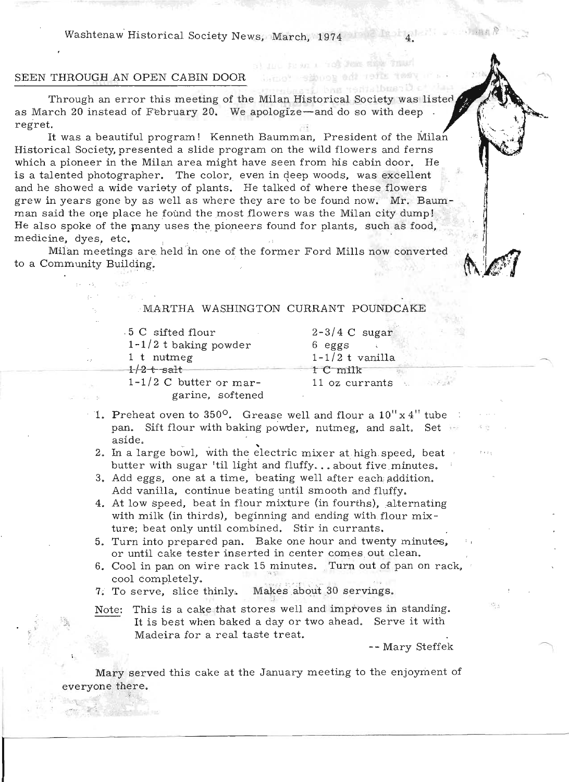Washtenaw Historical Society News, March, 1974

## SEEN THROUGH AN OPEN CABIN DOOR

" ':',

Through an error this meeting of the Milan Historical Society was listed as March 20 instead of February 20. We apologize-and do so with deep *t* regret.

It was a beautiful program! Kenneth Baumman, President of the Milan Historical Society, presented a slide program on the wild flowers and ferns which a pioneer in the Milan area might have seen from his cabin door. He is a talented photographer. The color, even in deep woods, was excellent and he showed a wide variety of plants. He talked of where these flowers grew in years gone by as well as where they are to be found now. Mr. Baumman said the one place he found the most flowers was the Milan city dump! He also spoke of the many uses the pioneers found for plants, such as food, medicine, dyes, etc.

Milan meetings are. held in one of the former Ford Mills now converted to a Community Building.

### MARTHA WASHINGTON CURRANT POUNDCAKE

. 5 C sifted flour 1-1/2 t baking powder 1 t nutmeg 1-1/2 t vanilla  $1/2$   $+$  salt 1-1/2 C butter or mar-

 $2-3/4$  C sugar 6 eggs  $\pm$ 1 C milk 11 oz currants

a) and the area. They were sign transbetter the goods of the

garine, softened

- 1. Preheat oven to 350<sup>o</sup>. Grease well and flour a  $10'' \times 4''$  tube pan. Sift flour with baking powder, nutmeg, and salt. Set aside.<br>2. In a large bowl, with the electric mixer at high speed, beat
- butter with sugar 'til light and fluffy...about five minutes.
- 3. Add eggs, one at a time, beating well after each addition. Add vanilla. continue beating until smooth and fluffy.
- 4. At low speed, beat in flour mixture (in fourths), alternating with milk (in thirds), beginning and ending with flour  $mix$ ture; beat only until combined. Stir in currants.
- 5. Turn into prepared pan. Bake one hour and twenty minutes, or until cake tester inserted in center comes out clean.
- 6. Cool in pan on wire rack 15 minutes. Turn out of pan on rack, cool completely.

7. To serve, slice thinly. Makes about 30 servings.

Note: This is a cake that stores well and improves in standing. It is best when baked a day or two ahead. Serve it with Madeira for a real taste treat.

-- Mary Steffek

 $\cdot$   $\cdot$ 

リー目白 R

Mary served this cake at the January meeting to the enjoyment of everyone there.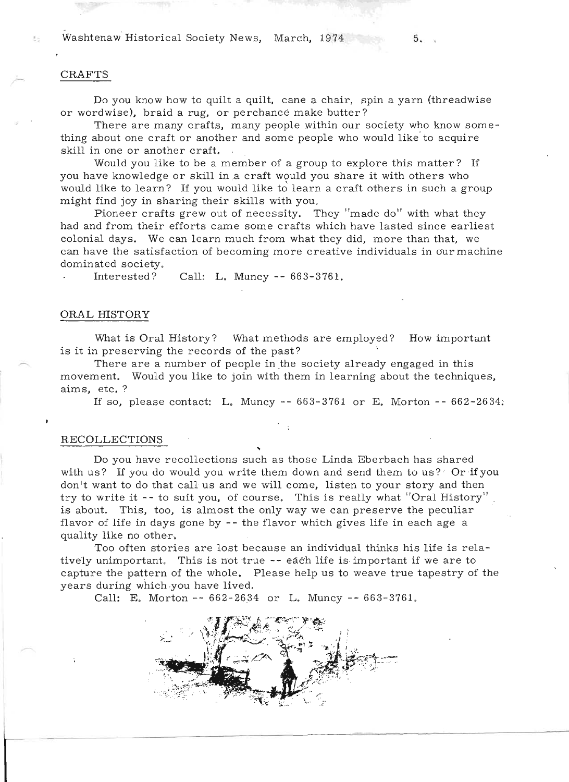Washtenaw Historical Society News, March, 1974 5.

### CRAFTS

Do you know how to quilt a quilt, cane a chair, spin a yarn (threadwise or wordwise), braid a rug, or perchance make butter?

There are many crafts, many people within our society who know something about one craft or another and some people who would like' to acquire skill in one or another craft.

Would you like to be a member of a group to explore this matter? If you have knowledge or skill in a craft would you share it with others who would like to learn? If you would like to learn a craft others in such a group might find joy in sharing their skills with you.

Pioneer crafts grew out of necessity. They "made do" with what they had and from their efforts came some crafts which have lasted since earliest colonial days. We can learn much from what they did, more than that, we can have the satisfaction of becoming more creative individuals in our machine dominated society.

Interested? Call: L. Muncy -- 663-3761.

#### ORAL HISTORY

What is Oral History? What methods are employed? How important is it in preserving the records of the past?

There are a number of people in the society already engaged in this movement. Would you like to join with them in learning about the techniques, aims, etc.?

If so, please contact: L. Muncy --  $663-3761$  or E. Morton --  $662-2634$ .

#### RECOLLECTIONS

Do you have recollections such as those Linda Eberbach has shared with us? If you do would you write them down and send them to us? Or if you don't want to do that call us and we will come, listen to your story and then try to write it -- to suit you, of course. This is really what "Oral History" is about. This, too, is almost the only way we can preserve the peculiar flavor of life in days gone by -- the flavor which gives life in each age a quality like no other.

Too often stories are lost because an individual thinks his life is relatively unimportant. This is not true  $-$ - each life is important if we are to capture the pattern of the whole. Please help us to weave true tapestry of the years during which ·you have lived.

Call: E. Morton -- 662-2634 or L. Muncy -- 663-3761.

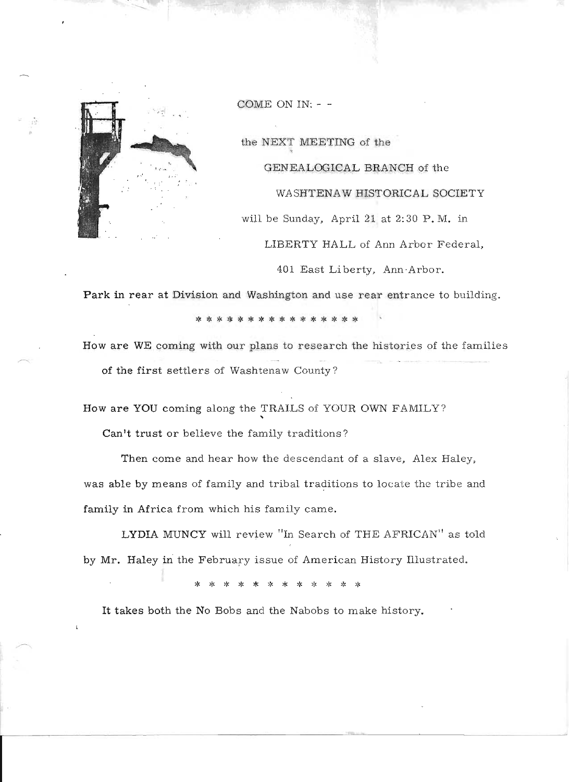

COME ON IN: - -

the NEXT MEETING of the GENEALOGICAL BRANCH of the WASHTENAW HISTORICAL SOCIETY will be Sunday, April 21 at 2:30 P.M. in LIBERTY HALL of Ann Arbor Federal,

401 East Li berty, Ann -Arbor.

Park in rear at Division and Washington and use rear entrance to building.

\* \* \* \* \* \* \* \* \* \* \* \* \* \* \*

How are WE coming with our plans to research the histories of the families of the first settlers of Washtenaw County?

How are YOU coming along the TRAILS of YOUR OWN FAMILY? "

Can't trust or believe the family traditions?

Then come and hear how the descendant of a slave, Alex Haley, was able by means of family and tribal traditions to locate the tribe and family in Africa from which his family came.

LYDIA MUNCY will review "In Search of THE AFRICAN" as told by Mr. Haley in the February issue of American History Illustrated.

\* \* \* \* \* \* \* \* \* \* \* \*

It takes both the No Bobs and the Nabobs to make history.